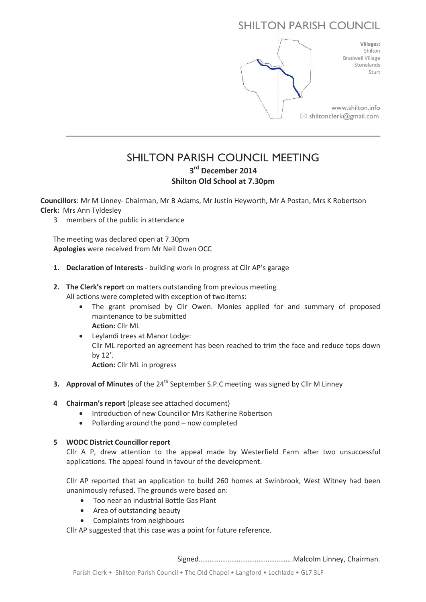# SHILTON PARISH COUNCIL



# SHILTON PARISH COUNCIL MEETING **3 rd December 2014 Shilton Old School at 7.30pm**

**Councillors**: Mr M Linney- Chairman, Mr B Adams, Mr Justin Heyworth, Mr A Postan, Mrs K Robertson **Clerk:** Mrs Ann Tyldesley

3 members of the public in attendance

 The meeting was declared open at 7.30pm **Apologies** were received from Mr Neil Owen OCC

- **1. Declaration of Interests** building work in progress at Cllr AP's garage
- **2. The Clerk's report** on matters outstanding from previous meeting All actions were completed with exception of two items:
	- The grant promised by Cllr Owen. Monies applied for and summary of proposed maintenance to be submitted **Action:** Cllr ML
	- Leylandi trees at Manor Lodge: Cllr ML reported an agreement has been reached to trim the face and reduce tops down by 12'.

**Action:** Cllr ML in progress

- **3. Approval of Minutes** of the 24<sup>th</sup> September S.P.C meeting was signed by Cllr M Linney
- **4 Chairman's report** (please see attached document)
	- Introduction of new Councillor Mrs Katherine Robertson
	- Pollarding around the pond now completed

# **5 WODC District Councillor report**

Cllr A P, drew attention to the appeal made by Westerfield Farm after two unsuccessful applications. The appeal found in favour of the development.

Cllr AP reported that an application to build 260 homes at Swinbrook, West Witney had been unanimously refused. The grounds were based on:

- Too near an industrial Bottle Gas Plant
- Area of outstanding beauty
- Complaints from neighbours

Cllr AP suggested that this case was a point for future reference.

Signed…………………………………………….Malcolm Linney, Chairman.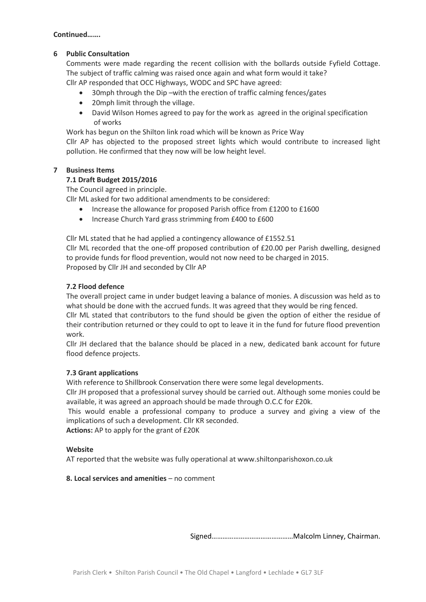#### **Continued…….**

# **6 Public Consultation**

Comments were made regarding the recent collision with the bollards outside Fyfield Cottage. The subject of traffic calming was raised once again and what form would it take? Cllr AP responded that OCC Highways, WODC and SPC have agreed:

30mph through the Dip –with the erection of traffic calming fences/gates

- 20mph limit through the village.
- David Wilson Homes agreed to pay for the work as agreed in the original specification of works

Work has begun on the Shilton link road which will be known as Price Way

Cllr AP has objected to the proposed street lights which would contribute to increased light pollution. He confirmed that they now will be low height level.

# **7 Business Items**

# **7.1 Draft Budget 2015/2016**

The Council agreed in principle.

Cllr ML asked for two additional amendments to be considered:

- Increase the allowance for proposed Parish office from £1200 to £1600
- Increase Church Yard grass strimming from £400 to £600

Cllr ML stated that he had applied a contingency allowance of £1552.51 Cllr ML recorded that the one-off proposed contribution of £20.00 per Parish dwelling, designed to provide funds for flood prevention, would not now need to be charged in 2015. Proposed by Cllr JH and seconded by Cllr AP

# **7.2 Flood defence**

The overall project came in under budget leaving a balance of monies. A discussion was held as to what should be done with the accrued funds. It was agreed that they would be ring fenced.

Cllr ML stated that contributors to the fund should be given the option of either the residue of their contribution returned or they could to opt to leave it in the fund for future flood prevention work.

Cllr JH declared that the balance should be placed in a new, dedicated bank account for future flood defence projects.

#### **7.3 Grant applications**

With reference to Shillbrook Conservation there were some legal developments.

Cllr JH proposed that a professional survey should be carried out. Although some monies could be available, it was agreed an approach should be made through O.C.C for £20k.

This would enable a professional company to produce a survey and giving a view of the implications of such a development. Cllr KR seconded.

**Actions:** AP to apply for the grant of £20K

#### **Website**

AT reported that the website was fully operational at www.shiltonparishoxon.co.uk

**8. Local services and amenities** – no comment

Signed………………………………………Malcolm Linney, Chairman.